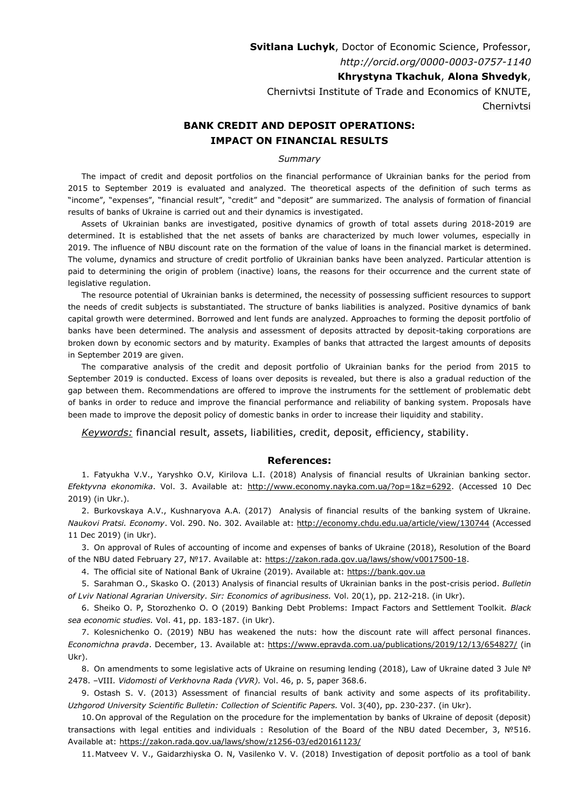**Svitlana Luchyk**, Doctor of Economic Science, Professor, *http://orcid.org/0000-0003-0757-1140*

**Khrystyna Tkachuk**, **Alona Shvedyk**,

Chernivtsi Institute of Trade and Economics of KNUTE, Chernivtsi

## **BANK CREDIT AND DEPOSIT OPERATIONS: IMPACT ON FINANCIAL RESULTS**

## *Summary*

The impact of credit and deposit portfolios on the financial performance of Ukrainian banks for the period from 2015 to September 2019 is evaluated and analyzed. The theoretical aspects of the definition of such terms as "income", "expenses", "financial result", "credit" and "deposit" are summarized. The analysis of formation of financial results of banks of Ukraine is carried out and their dynamics is investigated.

Assets of Ukrainian banks are investigated, positive dynamics of growth of total assets during 2018-2019 are determined. It is established that the net assets of banks are characterized by much lower volumes, especially in 2019. The influence of NBU discount rate on the formation of the value of loans in the financial market is determined. The volume, dynamics and structure of credit portfolio of Ukrainian banks have been analyzed. Particular attention is paid to determining the origin of problem (inactive) loans, the reasons for their occurrence and the current state of legislative regulation.

The resource potential of Ukrainian banks is determined, the necessity of possessing sufficient resources to support the needs of credit subjects is substantiated. The structure of banks liabilities is analyzed. Positive dynamics of bank capital growth were determined. Borrowed and lent funds are analyzed. Approaches to forming the deposit portfolio of banks have been determined. The analysis and assessment of deposits attracted by deposit-taking corporations are broken down by economic sectors and by maturity. Examples of banks that attracted the largest amounts of deposits in September 2019 are given.

The comparative analysis of the credit and deposit portfolio of Ukrainian banks for the period from 2015 to September 2019 is conducted. Excess of loans over deposits is revealed, but there is also a gradual reduction of the gap between them. Recommendations are offered to improve the instruments for the settlement of problematic debt of banks in order to reduce and improve the financial performance and reliability of banking system. Proposals have been made to improve the deposit policy of domestic banks in order to increase their liquidity and stability.

*Keywords:* financial result, assets, liabilities, credit, deposit, efficiency, stability.

## **References:**

1. Fatyukha V.V., Yaryshko O.V, Kirilova L.I. (2018) Analysis of financial results of Ukrainian banking sector. *Efektyvna ekonomika*. Vol. 3. Аvailable at: [http://www.economy.nayka.com.ua/?op=1&z=6292.](http://www.economy.nayka.com.ua/?op=1&z=6292) (Accessed 10 Dec 2019) (in Ukr.).

2. Burkovskaya A.V., Kushnaryova A.A. (2017) Analysis of financial results of the banking system of Ukraine. *Naukovi Pratsi. Economy*. Vol. 290. No. 302. Аvailable at: <http://economy.chdu.edu.ua/article/view/130744> (Accessed 11 Dec 2019) (in Ukr).

3. On approval of Rules of accounting of income and expenses of banks of Ukraine (2018), Resolution of the Board of the NBU dated February 27, №17. Аvailable at: https://zаkоn.rаdа.gоv.uа/lаws/shо[w/v0017500-18.](https://zаkоn.rаdа.gоv.uа/lаws/shоw/v0017500-18)

4. The official site of National Bank of Ukraine (2019). Available at: [https://bank.gov.ua](https://bank.gov.ua/)

5. Sarahman O., Skasko O. (2013) Analysis of financial results of Ukrainian banks in the post-crisis period. *Bulletin of Lviv National Agrarian University. Sir: Economics of agribusiness.* Vol. 20(1), pp. 212-218. (in Ukr).

6. Sheiko O. P, Storozhenko O. O (2019) Banking Debt Problems: Impact Factors and Settlement Toolkit. *Black sea economic studies.* Vol. 41, pp. 183-187. (in Ukr).

7. Kolesnichenko O. (2019) NBU has weakened the nuts: how the discount rate will affect personal finances. *Economichna pravda*. December, 13. Аvailable at:<https://www.epravda.com.ua/publications/2019/12/13/654827/> (in Ukr).

8. On amendments to some legislative acts of Ukraine on resuming lending (2018), Law of Ukraine dated 3 Jule № 2478. –VIII*. Vidomosti of Verkhovna Rada (VVR).* Vol. 46, p. 5, paper 368.6.

9. Ostash S. V. (2013) Assessment of financial results of bank activity and some aspects of its profitability. *Uzhgorod University Scientific Bulletin: Collection of Scientific Papers. Vol. 3(40), pp. 230-237. (in Ukr).* 

10.On approval of the Regulation on the procedure for the implementation by banks of Ukraine of deposit (deposit) transactions with legal entities and individuals : Resolution of the Board of the NBU dated December, 3, №516. Аvailable at: [https://zakon.rada.gov.ua/laws/show/z1256-03/ed20161123/](https://zakon.rada.gov.ua/laws/show/z1256-03/ed20161123/find?text=%EE%F9%E0%E4%ED%E8%E9+%28%E4%E5%EF%EE%E7%E8%F2%ED%E8%E9%29+%F1%E5%F0%F2%E8%F4%B3%EA%E0%F2)

11.Matveev V. V., Gaidarzhiyska O. N, Vasilenko V. V. (2018) Investigation of deposit portfolio as a tool of bank